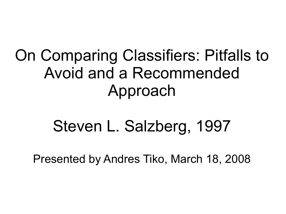#### On Comparing Classifiers: Pitfalls to Avoid and a Recommended Approach

## Steven L. Salzberg, 1997

Presented by Andres Tiko, March 18, 2008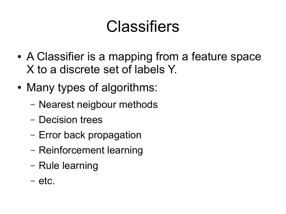### **Classifiers**

- A Classifier is a mapping from a feature space X to a discrete set of labels Y.
- Many types of algorithms:
	- Nearest neigbour methods
	- Decision trees
	- Error back propagation
	- Reinforcement learning
	- Rule learning
	- etc.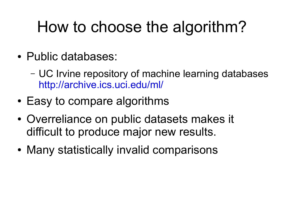# How to choose the algorithm?

- Public databases:
	- UC Irvine repository of machine learning databases <http://archive.ics.uci.edu/ml/>
- Easy to compare algorithms
- Overreliance on public datasets makes it difficult to produce major new results.
- Many statistically invalid comparisons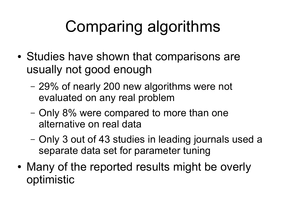# Comparing algorithms

- Studies have shown that comparisons are usually not good enough
	- 29% of nearly 200 new algorithms were not evaluated on any real problem
	- Only 8% were compared to more than one alternative on real data
	- Only 3 out of 43 studies in leading journals used a separate data set for parameter tuning
- Many of the reported results might be overly optimistic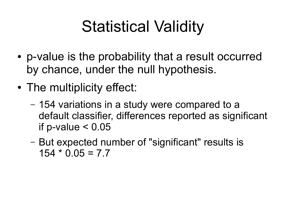## Statistical Validity

- p-value is the probability that a result occurred by chance, under the null hypothesis.
- The multiplicity effect:
	- 154 variations in a study were compared to a default classifier, differences reported as significant if p-value  $< 0.05$
	- But expected number of "significant" results is  $154 * 0.05 = 7.7$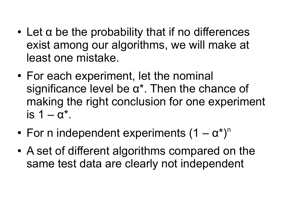- $\cdot$  Let a be the probability that if no differences exist among our algorithms, we will make at least one mistake.
- For each experiment, let the nominal significance level be α\*. Then the chance of making the right conclusion for one experiment is  $1 - \alpha^*$ .
- For n independent experiments  $(1 \alpha^*)^n$
- A set of different algorithms compared on the same test data are clearly not independent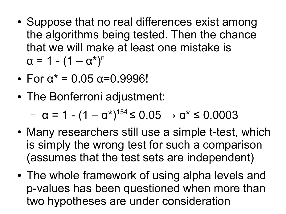- Suppose that no real differences exist among the algorithms being tested. Then the chance that we will make at least one mistake is  $\alpha = 1 - (1 - \alpha^*)^n$
- $\cdot$  For  $\alpha^* = 0.05$   $\alpha = 0.9996!$
- The Bonferroni adjustment:

 $- \alpha = 1 - (1 - \alpha^*)^{154} \leq 0.05 \rightarrow \alpha^* \leq 0.0003$ 

- Many researchers still use a simple t-test, which is simply the wrong test for such a comparison (assumes that the test sets are independent)
- The whole framework of using alpha levels and p-values has been questioned when more than two hypotheses are under consideration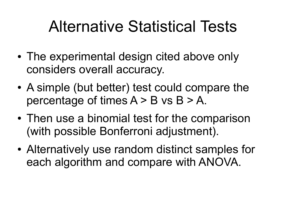### Alternative Statistical Tests

- The experimental design cited above only considers overall accuracy.
- A simple (but better) test could compare the percentage of times  $A > B$  vs  $B > A$ .
- Then use a binomial test for the comparison (with possible Bonferroni adjustment).
- Alternatively use random distinct samples for each algorithm and compare with ANOVA.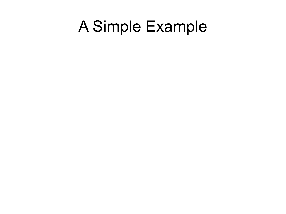#### A Simple Example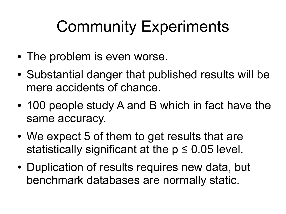## Community Experiments

- The problem is even worse.
- Substantial danger that published results will be mere accidents of chance.
- 100 people study A and B which in fact have the same accuracy.
- We expect 5 of them to get results that are statistically significant at the  $p \le 0.05$  level.
- Duplication of results requires new data, but benchmark databases are normally static.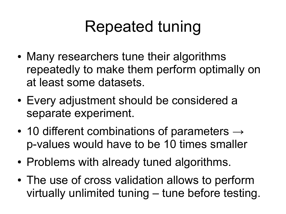## Repeated tuning

- Many researchers tune their algorithms repeatedly to make them perform optimally on at least some datasets.
- Every adjustment should be considered a separate experiment.
- 10 different combinations of parameters  $\rightarrow$ p-values would have to be 10 times smaller
- Problems with already tuned algorithms.
- The use of cross validation allows to perform virtually unlimited tuning – tune before testing.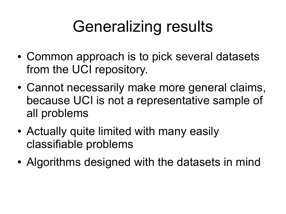## Generalizing results

- Common approach is to pick several datasets from the UCI repository.
- Cannot necessarily make more general claims, because UCI is not a representative sample of all problems
- Actually quite limited with many easily classifiable problems
- Algorithms designed with the datasets in mind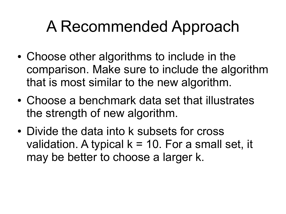### A Recommended Approach

- Choose other algorithms to include in the comparison. Make sure to include the algorithm that is most similar to the new algorithm.
- Choose a benchmark data set that illustrates the strength of new algorithm.
- Divide the data into k subsets for cross validation. A typical  $k = 10$ . For a small set, it may be better to choose a larger k.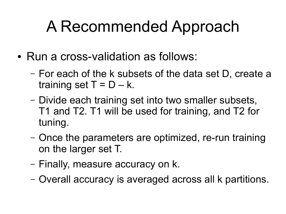## A Recommended Approach

- Run a cross-validation as follows:
	- For each of the k subsets of the data set D, create a training set  $T = D - k$ .
	- Divide each training set into two smaller subsets, T1 and T2. T1 will be used for training, and T2 for tuning.
	- Once the parameters are optimized, re-run training on the larger set T.
	- Finally, measure accuracy on k.
	- Overall accuracy is averaged across all k partitions.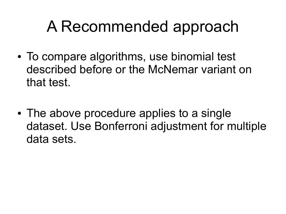### A Recommended approach

- To compare algorithms, use binomial test described before or the McNemar variant on that test.
- The above procedure applies to a single dataset. Use Bonferroni adjustment for multiple data sets.